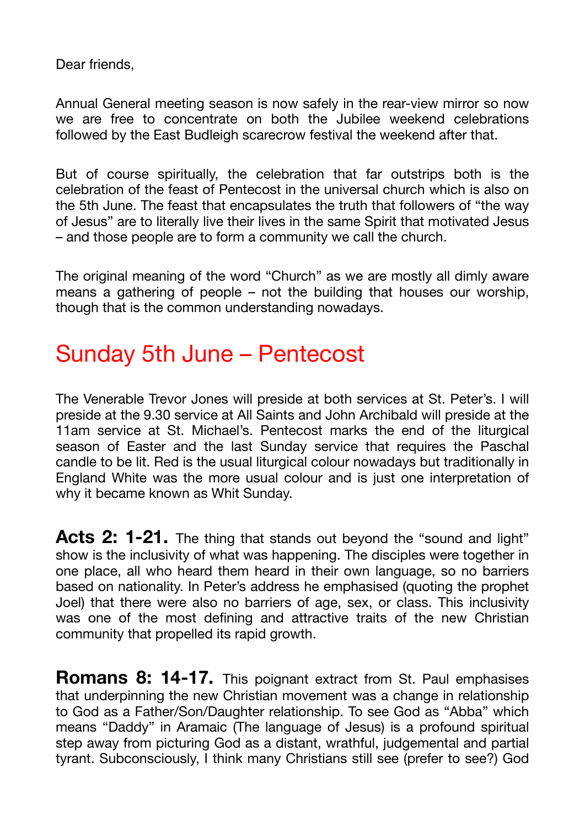Dear friends,

Annual General meeting season is now safely in the rear-view mirror so now we are free to concentrate on both the Jubilee weekend celebrations followed by the East Budleigh scarecrow festival the weekend after that.

But of course spiritually, the celebration that far outstrips both is the celebration of the feast of Pentecost in the universal church which is also on the 5th June. The feast that encapsulates the truth that followers of "the way of Jesus" are to literally live their lives in the same Spirit that motivated Jesus – and those people are to form a community we call the church.

The original meaning of the word "Church" as we are mostly all dimly aware means a gathering of people – not the building that houses our worship, though that is the common understanding nowadays.

#### Sunday 5th June – Pentecost

The Venerable Trevor Jones will preside at both services at St. Peter's. I will preside at the 9.30 service at All Saints and John Archibald will preside at the 11am service at St. Michael's. Pentecost marks the end of the liturgical season of Easter and the last Sunday service that requires the Paschal candle to be lit. Red is the usual liturgical colour nowadays but traditionally in England White was the more usual colour and is just one interpretation of why it became known as Whit Sunday.

Acts 2: 1-21. The thing that stands out beyond the "sound and light" show is the inclusivity of what was happening. The disciples were together in one place, all who heard them heard in their own language, so no barriers based on nationality. In Peter's address he emphasised (quoting the prophet Joel) that there were also no barriers of age, sex, or class. This inclusivity was one of the most defining and attractive traits of the new Christian community that propelled its rapid growth.

**Romans 8: 14-17.** This poignant extract from St. Paul emphasises that underpinning the new Christian movement was a change in relationship to God as a Father/Son/Daughter relationship. To see God as "Abba" which means "Daddy" in Aramaic (The language of Jesus) is a profound spiritual step away from picturing God as a distant, wrathful, judgemental and partial tyrant. Subconsciously, I think many Christians still see (prefer to see?) God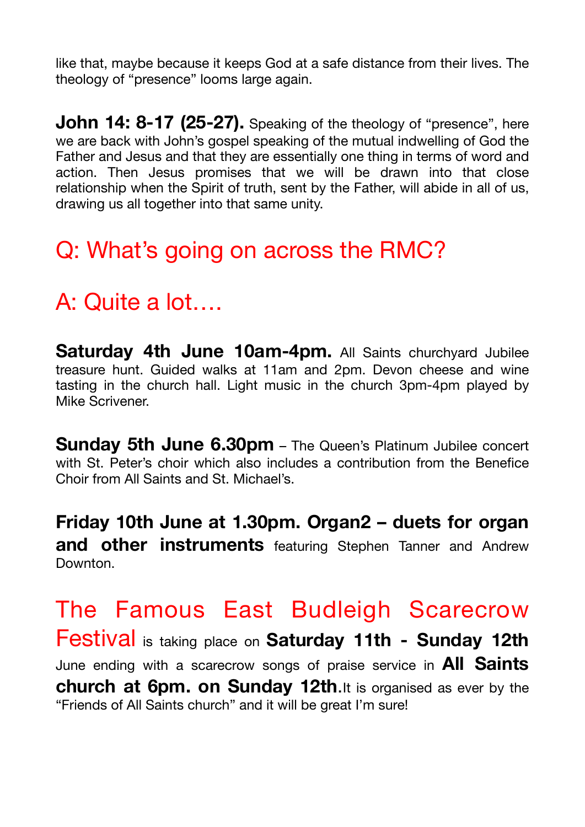like that, maybe because it keeps God at a safe distance from their lives. The theology of "presence" looms large again.

**John 14: 8-17 (25-27).** Speaking of the theology of "presence", here we are back with John's gospel speaking of the mutual indwelling of God the Father and Jesus and that they are essentially one thing in terms of word and action. Then Jesus promises that we will be drawn into that close relationship when the Spirit of truth, sent by the Father, will abide in all of us, drawing us all together into that same unity.

#### Q: What's going on across the RMC?

### A: Quite a lot….

**Saturday 4th June 10am-4pm.** All Saints churchyard Jubilee treasure hunt. Guided walks at 11am and 2pm. Devon cheese and wine tasting in the church hall. Light music in the church 3pm-4pm played by Mike Scrivener.

**Sunday 5th June 6.30pm** – The Queen's Platinum Jubilee concert with St. Peter's choir which also includes a contribution from the Benefice Choir from All Saints and St. Michael's.

**Friday 10th June at 1.30pm. Organ2 – duets for organ and other instruments** featuring Stephen Tanner and Andrew Downton.

The Famous East Budleigh Scarecrow Festival is taking place on **Saturday 11th - Sunday 12th** June ending with a scarecrow songs of praise service in **All Saints church at 6pm. on Sunday 12th**.It is organised as ever by the "Friends of All Saints church" and it will be great I'm sure!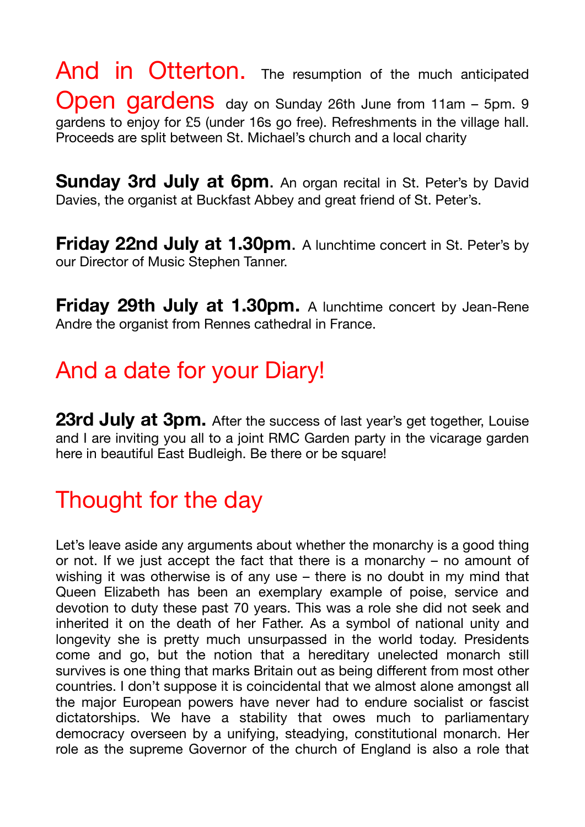And in Otterton. The resumption of the much anticipated Open gardens day on Sunday 26th June from 11am - 5pm. 9 gardens to enjoy for £5 (under 16s go free). Refreshments in the village hall. Proceeds are split between St. Michael's church and a local charity

**Sunday 3rd July at 6pm.** An organ recital in St. Peter's by David Davies, the organist at Buckfast Abbey and great friend of St. Peter's.

**Friday 22nd July at 1.30pm.** A lunchtime concert in St. Peter's by our Director of Music Stephen Tanner.

**Friday 29th July at 1.30pm.** A lunchtime concert by Jean-Rene Andre the organist from Rennes cathedral in France.

#### And a date for your Diary!

**23rd July at 3pm.** After the success of last year's get together, Louise and I are inviting you all to a joint RMC Garden party in the vicarage garden here in beautiful East Budleigh. Be there or be square!

## Thought for the day

Let's leave aside any arguments about whether the monarchy is a good thing or not. If we just accept the fact that there is a monarchy – no amount of wishing it was otherwise is of any use – there is no doubt in my mind that Queen Elizabeth has been an exemplary example of poise, service and devotion to duty these past 70 years. This was a role she did not seek and inherited it on the death of her Father. As a symbol of national unity and longevity she is pretty much unsurpassed in the world today. Presidents come and go, but the notion that a hereditary unelected monarch still survives is one thing that marks Britain out as being different from most other countries. I don't suppose it is coincidental that we almost alone amongst all the major European powers have never had to endure socialist or fascist dictatorships. We have a stability that owes much to parliamentary democracy overseen by a unifying, steadying, constitutional monarch. Her role as the supreme Governor of the church of England is also a role that